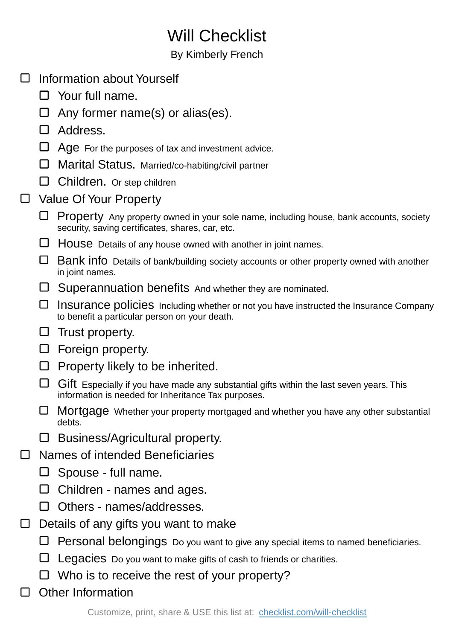## Will Checklist

## By Kimberly French

- □ Information about Yourself
	- $\Box$  Your full name.
	- $\Box$  Any former name(s) or alias(es).
	- □ Address.
	- $\Box$  Age For the purposes of tax and investment advice.
	- $\Box$  Marital Status. Married/co-habiting/civil partner
	- $\Box$  Children. Or step children
- □ Value Of Your Property
	- $\Box$  Property Any property owned in your sole name, including house, bank accounts, society security, saving certificates, shares, car, etc.
	- $\Box$  House Details of any house owned with another in joint names.
	- $\Box$  Bank info Details of bank/building society accounts or other property owned with another in joint names.
	- $\square$  Superannuation benefits And whether they are nominated.
	- Insurance policies Including whether or not you have instructed the Insurance Company to benefit a particular person on your death.
	- $\square$  Trust property.
	- $\Box$  Foreign property.
	- $\Box$  Property likely to be inherited.
	- $\Box$  Gift Especially if you have made any substantial gifts within the last seven years. This information is needed for Inheritance Tax purposes.
	- Mortgage Whether your property mortgaged and whether you have any other substantial debts.
	- $\square$  Business/Agricultural property.
- Names of intended Beneficiaries  $\Box$ 
	- $\square$  Spouse full name.
	- $\Box$  Children names and ages.
	- $\Box$  Others names/addresses.
- $\Box$ Details of any gifts you want to make
	- $\Box$  Personal belongings Do you want to give any special items to named beneficiaries.
	- $\Box$  Legacies Do you want to make gifts of cash to friends or charities.
	- $\Box$  Who is to receive the rest of your property?
- $\Box$ Other Information